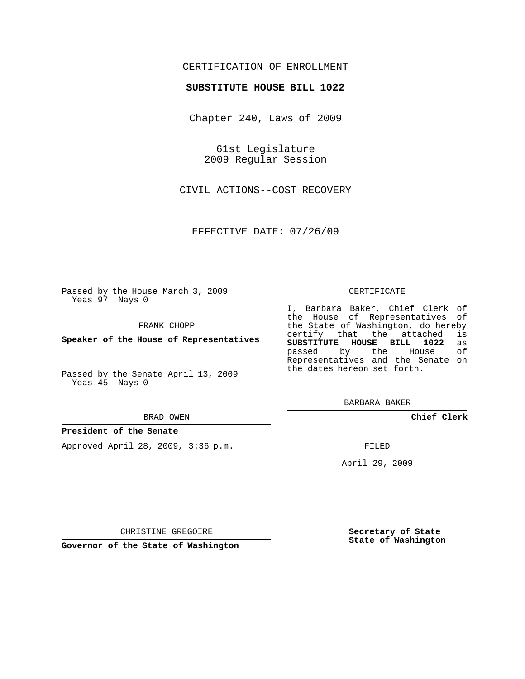## CERTIFICATION OF ENROLLMENT

## **SUBSTITUTE HOUSE BILL 1022**

Chapter 240, Laws of 2009

61st Legislature 2009 Regular Session

CIVIL ACTIONS--COST RECOVERY

EFFECTIVE DATE: 07/26/09

Passed by the House March 3, 2009 Yeas 97 Nays 0

FRANK CHOPP

**Speaker of the House of Representatives**

Passed by the Senate April 13, 2009 Yeas 45 Nays 0

#### BRAD OWEN

### **President of the Senate**

Approved April 28, 2009, 3:36 p.m.

#### CERTIFICATE

I, Barbara Baker, Chief Clerk of the House of Representatives of the State of Washington, do hereby<br>certify that the attached is certify that the attached **SUBSTITUTE HOUSE BILL 1022** as passed by the Representatives and the Senate on the dates hereon set forth.

BARBARA BAKER

**Chief Clerk**

FILED

April 29, 2009

**Secretary of State State of Washington**

CHRISTINE GREGOIRE

**Governor of the State of Washington**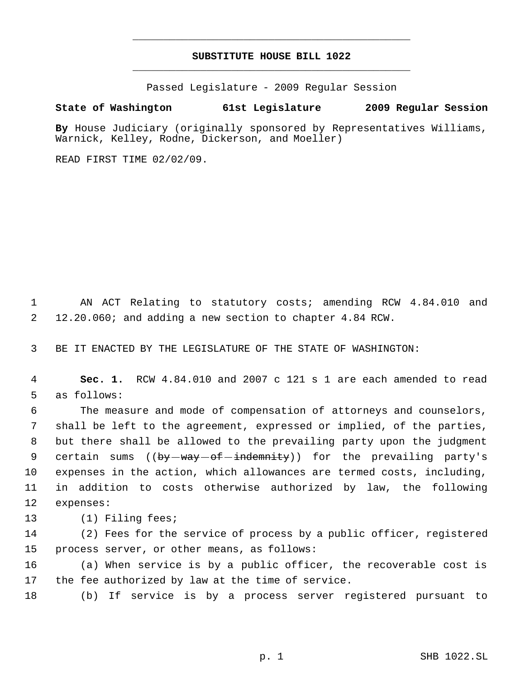# **SUBSTITUTE HOUSE BILL 1022** \_\_\_\_\_\_\_\_\_\_\_\_\_\_\_\_\_\_\_\_\_\_\_\_\_\_\_\_\_\_\_\_\_\_\_\_\_\_\_\_\_\_\_\_\_

\_\_\_\_\_\_\_\_\_\_\_\_\_\_\_\_\_\_\_\_\_\_\_\_\_\_\_\_\_\_\_\_\_\_\_\_\_\_\_\_\_\_\_\_\_

Passed Legislature - 2009 Regular Session

# **State of Washington 61st Legislature 2009 Regular Session**

**By** House Judiciary (originally sponsored by Representatives Williams, Warnick, Kelley, Rodne, Dickerson, and Moeller)

READ FIRST TIME 02/02/09.

 AN ACT Relating to statutory costs; amending RCW 4.84.010 and 12.20.060; and adding a new section to chapter 4.84 RCW.

BE IT ENACTED BY THE LEGISLATURE OF THE STATE OF WASHINGTON:

 **Sec. 1.** RCW 4.84.010 and 2007 c 121 s 1 are each amended to read as follows:

 The measure and mode of compensation of attorneys and counselors, shall be left to the agreement, expressed or implied, of the parties, but there shall be allowed to the prevailing party upon the judgment 9 certain sums ((<del>by way of indemnity</del>)) for the prevailing party's expenses in the action, which allowances are termed costs, including, in addition to costs otherwise authorized by law, the following expenses:

(1) Filing fees;

 (2) Fees for the service of process by a public officer, registered process server, or other means, as follows:

 (a) When service is by a public officer, the recoverable cost is the fee authorized by law at the time of service.

(b) If service is by a process server registered pursuant to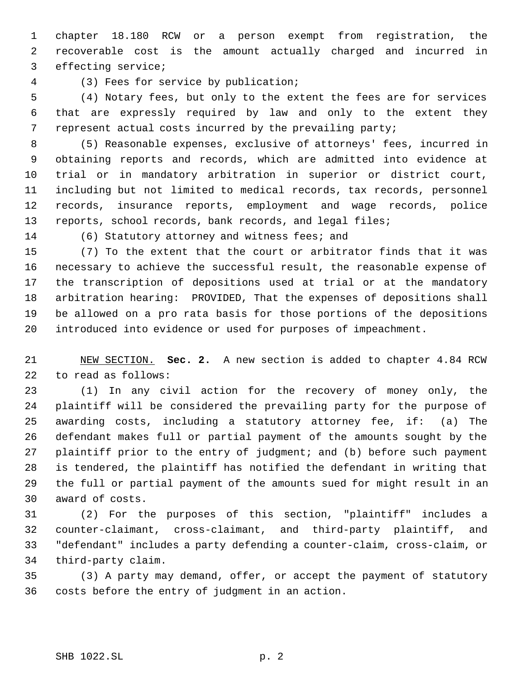chapter 18.180 RCW or a person exempt from registration, the recoverable cost is the amount actually charged and incurred in effecting service;

(3) Fees for service by publication;

 (4) Notary fees, but only to the extent the fees are for services that are expressly required by law and only to the extent they represent actual costs incurred by the prevailing party;

 (5) Reasonable expenses, exclusive of attorneys' fees, incurred in obtaining reports and records, which are admitted into evidence at trial or in mandatory arbitration in superior or district court, including but not limited to medical records, tax records, personnel records, insurance reports, employment and wage records, police reports, school records, bank records, and legal files;

(6) Statutory attorney and witness fees; and

 (7) To the extent that the court or arbitrator finds that it was necessary to achieve the successful result, the reasonable expense of the transcription of depositions used at trial or at the mandatory arbitration hearing: PROVIDED, That the expenses of depositions shall be allowed on a pro rata basis for those portions of the depositions introduced into evidence or used for purposes of impeachment.

 NEW SECTION. **Sec. 2.** A new section is added to chapter 4.84 RCW to read as follows:

 (1) In any civil action for the recovery of money only, the plaintiff will be considered the prevailing party for the purpose of awarding costs, including a statutory attorney fee, if: (a) The defendant makes full or partial payment of the amounts sought by the plaintiff prior to the entry of judgment; and (b) before such payment is tendered, the plaintiff has notified the defendant in writing that the full or partial payment of the amounts sued for might result in an award of costs.

 (2) For the purposes of this section, "plaintiff" includes a counter-claimant, cross-claimant, and third-party plaintiff, and "defendant" includes a party defending a counter-claim, cross-claim, or third-party claim.

 (3) A party may demand, offer, or accept the payment of statutory costs before the entry of judgment in an action.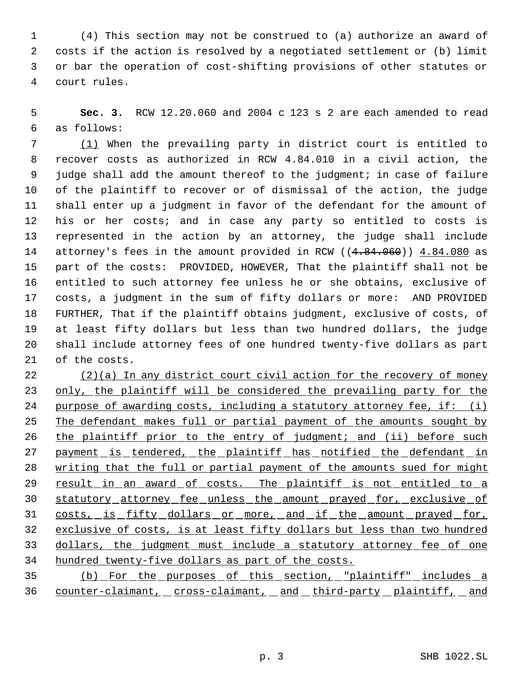(4) This section may not be construed to (a) authorize an award of costs if the action is resolved by a negotiated settlement or (b) limit or bar the operation of cost-shifting provisions of other statutes or court rules.

 **Sec. 3.** RCW 12.20.060 and 2004 c 123 s 2 are each amended to read as follows:

 (1) When the prevailing party in district court is entitled to recover costs as authorized in RCW 4.84.010 in a civil action, the judge shall add the amount thereof to the judgment; in case of failure of the plaintiff to recover or of dismissal of the action, the judge shall enter up a judgment in favor of the defendant for the amount of his or her costs; and in case any party so entitled to costs is represented in the action by an attorney, the judge shall include 14 attorney's fees in the amount provided in RCW ((4.84.060)) 4.84.080 as part of the costs: PROVIDED, HOWEVER, That the plaintiff shall not be entitled to such attorney fee unless he or she obtains, exclusive of costs, a judgment in the sum of fifty dollars or more: AND PROVIDED FURTHER, That if the plaintiff obtains judgment, exclusive of costs, of at least fifty dollars but less than two hundred dollars, the judge shall include attorney fees of one hundred twenty-five dollars as part of the costs.

 (2)(a) In any district court civil action for the recovery of money 23 only, the plaintiff will be considered the prevailing party for the 24 purpose of awarding costs, including a statutory attorney fee, if: (i) 25 The defendant makes full or partial payment of the amounts sought by 26 the plaintiff prior to the entry of judgment; and (ii) before such 27 payment is tendered, the plaintiff has notified the defendant in 28 writing that the full or partial payment of the amounts sued for might 29 result in an award of costs. The plaintiff is not entitled to a statutory attorney fee unless the amount prayed for, exclusive of 31 costs, is fifty dollars or more, and if the amount prayed for, exclusive of costs, is at least fifty dollars but less than two hundred 33 dollars, the judgment must include a statutory attorney fee of one hundred twenty-five dollars as part of the costs.

 (b) For the purposes of this section, "plaintiff" includes a 36 counter-claimant, cross-claimant, and third-party plaintiff, and